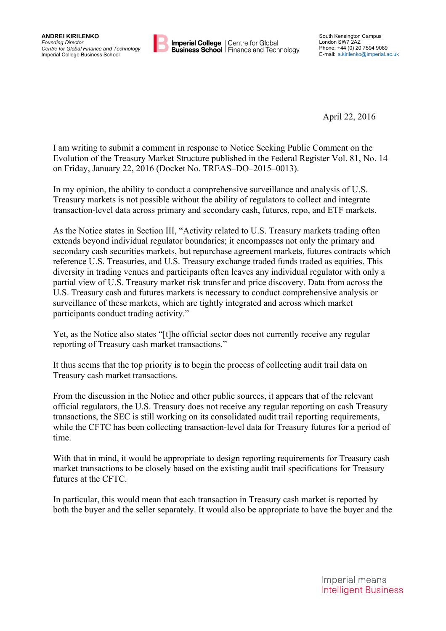

**Imperial College** | Centre for Global **Business School** | Finance and Technology

April 22, 2016

I am writing to submit a comment in response to Notice Seeking Public Comment on the Evolution of the Treasury Market Structure published in the Federal Register Vol. 81, No. 14 on Friday, January 22, 2016 (Docket No. TREAS–DO–2015–0013).

In my opinion, the ability to conduct a comprehensive surveillance and analysis of U.S. Treasury markets is not possible without the ability of regulators to collect and integrate transaction-level data across primary and secondary cash, futures, repo, and ETF markets.

As the Notice states in Section III, "Activity related to U.S. Treasury markets trading often extends beyond individual regulator boundaries; it encompasses not only the primary and secondary cash securities markets, but repurchase agreement markets, futures contracts which reference U.S. Treasuries, and U.S. Treasury exchange traded funds traded as equities. This diversity in trading venues and participants often leaves any individual regulator with only a partial view of U.S. Treasury market risk transfer and price discovery. Data from across the U.S. Treasury cash and futures markets is necessary to conduct comprehensive analysis or surveillance of these markets, which are tightly integrated and across which market participants conduct trading activity."

Yet, as the Notice also states "[t]he official sector does not currently receive any regular reporting of Treasury cash market transactions."

It thus seems that the top priority is to begin the process of collecting audit trail data on Treasury cash market transactions.

From the discussion in the Notice and other public sources, it appears that of the relevant official regulators, the U.S. Treasury does not receive any regular reporting on cash Treasury transactions, the SEC is still working on its consolidated audit trail reporting requirements, while the CFTC has been collecting transaction-level data for Treasury futures for a period of time.

With that in mind, it would be appropriate to design reporting requirements for Treasury cash market transactions to be closely based on the existing audit trail specifications for Treasury futures at the CFTC.

In particular, this would mean that each transaction in Treasury cash market is reported by both the buyer and the seller separately. It would also be appropriate to have the buyer and the